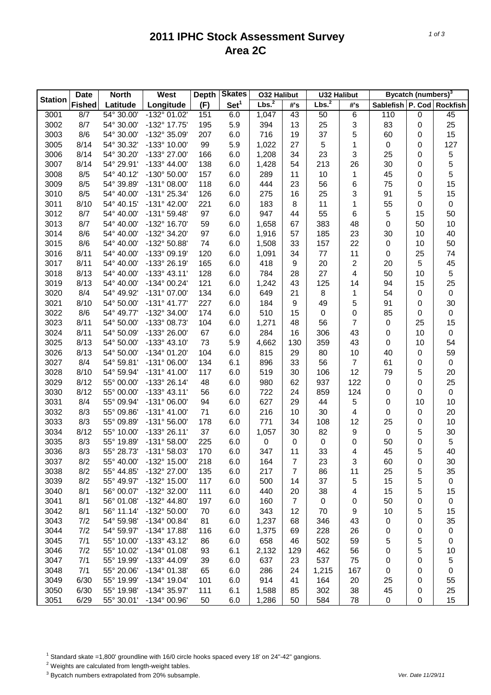## **2011 IPHC Stock Assessment Survey Area 2C**

|                | <b>Date</b>   | <b>North</b> | West                  | <b>Depth</b> | <b>Skates</b>    | <b>032 Halibut</b> |                | <b>U32 Halibut</b> |                           |                               | Bycatch (numbers) <sup>3</sup> |             |
|----------------|---------------|--------------|-----------------------|--------------|------------------|--------------------|----------------|--------------------|---------------------------|-------------------------------|--------------------------------|-------------|
| <b>Station</b> | <b>Fished</b> | Latitude     | Longitude             | (F)          | Set <sup>1</sup> | Lbs. <sup>2</sup>  | #'s            | Lbs. <sup>2</sup>  | #'s                       | Sablefish   P. Cod   Rockfish |                                |             |
| 3001           | 8/7           | 54° 30.00'   | $-132^{\circ}$ 01.02' | 151          | 6.0              | 1,047              | 43             | 50                 | 6                         | 110                           | $\mathbf 0$                    | 45          |
| 3002           | 8/7           | 54° 30.00'   | -132° 17.75'          | 195          | 5.9              | 394                | 13             | 25                 | 3                         | 83                            | 0                              | 25          |
| 3003           | 8/6           | 54° 30.00'   | -132° 35.09'          | 207          | 6.0              | 716                | 19             | 37                 | 5                         | 60                            | 0                              | 15          |
| 3005           | 8/14          | 54° 30.32'   | -133° 10.00'          | 99           | 5.9              | 1,022              | 27             | 5                  | 1                         | $\pmb{0}$                     | 0                              | 127         |
| 3006           | 8/14          | 54° 30.20'   | -133° 27.00'          | 166          | 6.0              | 1,208              | 34             | 23                 | $\ensuremath{\mathsf{3}}$ | 25                            | 0                              | $\mathbf 5$ |
| 3007           | 8/14          | 54° 29.91'   | $-133^{\circ}$ 44.00' | 138          | 6.0              | 1,428              | 54             | 213                | 26                        | 30                            | 0                              | 5           |
| 3008           | 8/5           | 54° 40.12'   | -130° 50.00'          | 157          | 6.0              | 289                | 11             | 10                 | 1                         | 45                            | 0                              | 5           |
| 3009           | 8/5           | 54° 39.89'   | $-131^{\circ}$ 08.00' | 118          | 6.0              | 444                | 23             | 56                 | 6                         | 75                            | 0                              | 15          |
| 3010           | 8/5           | 54° 40.00'   | -131° 25.34'          | 126          | 6.0              | 275                | 16             | 25                 | 3                         | 91                            | 5                              | 15          |
| 3011           | 8/10          | 54° 40.15'   | $-131^{\circ}$ 42.00' | 221          | 6.0              | 183                | 8              | 11                 | 1                         | 55                            | 0                              | $\pmb{0}$   |
| 3012           | 8/7           | 54° 40.00'   | $-131^{\circ}59.48'$  | 97           | 6.0              | 947                | 44             | 55                 | 6                         | 5                             | 15                             | 50          |
| 3013           | 8/7           | 54° 40.00'   | -132° 16.70'          | 59           | 6.0              | 1,658              | 67             | 383                | 48                        | 0                             | 50                             | 10          |
| 3014           | 8/6           | 54° 40.00'   | -132° 34.20'          | 97           | 6.0              | 1,916              | 57             | 185                | 23                        | 30                            | 10                             | 40          |
| 3015           | 8/6           | 54° 40.00'   | -132° 50.88'          | 74           | 6.0              | 1,508              | 33             | 157                | 22                        | 0                             | 10                             | 50          |
| 3016           | 8/11          | 54° 40.00'   | -133° 09.19'          | 120          | 6.0              | 1,091              | 34             | 77                 | 11                        | 0                             | 25                             | 74          |
| 3017           | 8/11          | 54° 40.00'   | -133° 26.19'          | 165          | 6.0              | 418                | 9              | 20                 | $\boldsymbol{2}$          | 20                            | 5                              | 45          |
| 3018           | 8/13          | 54° 40.00'   | $-133^{\circ}$ 43.11' | 128          | 6.0              | 784                | 28             | 27                 | 4                         | 50                            | 10                             | $\,$ 5 $\,$ |
| 3019           | 8/13          | 54° 40.00'   | -134° 00.24'          | 121          | 6.0              | 1,242              | 43             | 125                | 14                        | 94                            | 15                             | 25          |
| 3020           | 8/4           | 54° 49.92'   | -131° 07.00'          | 134          | 6.0              | 649                | 21             | 8                  | 1                         | 54                            | 0                              | $\pmb{0}$   |
| 3021           | 8/10          | 54° 50.00'   | $-131^{\circ}$ 41.77' | 227          | 6.0              | 184                | 9              | 49                 | 5                         | 91                            | 0                              | 30          |
| 3022           | 8/6           | 54° 49.77'   | -132° 34.00'          | 174          | 6.0              | 510                | 15             | $\,0\,$            | 0                         | 85                            | 0                              | $\pmb{0}$   |
| 3023           | 8/11          | 54° 50.00'   | -133° 08.73'          | 104          | 6.0              | 1,271              | 48             | 56                 | 7                         | 0                             | 25                             | 15          |
| 3024           | 8/11          | 54° 50.09'   | -133° 26.00'          | 67           | 6.0              | 284                | 16             | 306                | 43                        | 0                             | 10                             | $\pmb{0}$   |
| 3025           | 8/13          | 54° 50.00'   | $-133^{\circ}$ 43.10' | 73           | 5.9              | 4,662              | 130            | 359                | 43                        | 0                             | 10                             | 54          |
| 3026           | 8/13          | 54° 50.00'   | -134° 01.20'          | 104          | 6.0              | 815                | 29             | 80                 | 10                        | 40                            | 0                              | 59          |
| 3027           | 8/4           | 54° 59.81'   | $-131^{\circ}$ 06.00' | 134          | 6.1              | 896                | 33             | 56                 | $\overline{7}$            | 61                            | 0                              | $\pmb{0}$   |
| 3028           | 8/10          | 54° 59.94'   | $-131^{\circ}$ 41.00' | 117          | 6.0              | 519                | 30             | 106                | 12                        | 79                            | 5                              | 20          |
| 3029           | 8/12          | 55° 00.00'   | -133° 26.14'          | 48           | 6.0              | 980                | 62             | 937                | 122                       | $\pmb{0}$                     | 0                              | 25          |
| 3030           | 8/12          | 55° 00.00'   | $-133^{\circ}$ 43.11' | 56           | 6.0              | 722                | 24             | 859                | 124                       | 0                             | 0                              | $\pmb{0}$   |
| 3031           | 8/4           | 55° 09.94'   | $-131^{\circ}$ 06.00' | 94           | 6.0              | 627                | 29             | 44                 | 5                         | 0                             | 10                             | 10          |
| 3032           | 8/3           | 55° 09.86'   | $-131^{\circ}$ 41.00' | 71           | 6.0              | 216                | 10             | 30                 | 4                         | 0                             | 0                              | 20          |
| 3033           | 8/3           | 55° 09.89'   | $-131^{\circ} 56.00'$ | 178          | 6.0              | 771                | 34             | 108                | 12                        | 25                            | 0                              | 10          |
| 3034           | 8/12          | 55° 10.00'   | $-133^{\circ}$ 26.11' | 37           | 6.0              | 1,057              | 30             | 82                 | 9                         | $\pmb{0}$                     | 5                              | 30          |
| 3035           | 8/3           | 55° 19.89'   | $-131^{\circ}58.00'$  | 225          | 6.0              | $\pmb{0}$          | 0              | 0                  | 0                         | 50                            | 0                              | $\,$ 5 $\,$ |
| 3036           | 8/3           | 55° 28.73'   | -131° 58.03'          | 170          | 6.0              | 347                | 11             | 33                 | 4                         | 45                            | 5                              | 40          |
| 3037           | 8/2           | 55° 40.00'   | -132° 15.00'          | 218          | 6.0              | 164                | 7              | 23                 | 3                         | 60                            | 0                              | 30          |
| 3038           | 8/2           | 55° 44.85'   | -132° 27.00'          | 135          | 6.0              | 217                | $\overline{7}$ | 86                 | 11                        | 25                            | 5                              | 35          |
| 3039           | 8/2           | 55° 49.97'   | -132° 15.00'          | 117          | 6.0              | 500                | 14             | 37                 | 5                         | 15                            | 5                              | $\pmb{0}$   |
| 3040           | 8/1           | 56° 00.07'   | -132° 32.00'          | 111          | 6.0              | 440                | 20             | 38                 | 4                         | 15                            | 5                              | 15          |
| 3041           | 8/1           | 56° 01.08'   | -132° 44.80'          | 197          | 6.0              | 160                | $\overline{7}$ | $\pmb{0}$          | 0                         | 50                            | 0                              | $\pmb{0}$   |
| 3042           | 8/1           | 56° 11.14'   | -132° 50.00'          | 70           | 6.0              | 343                | 12             | 70                 | 9                         | 10                            | 5                              | 15          |
| 3043           | 7/2           | 54° 59.98'   | -134° 00.84'          | 81           | 6.0              | 1,237              | 68             | 346                | 43                        | $\pmb{0}$                     | 0                              | 35          |
| 3044           | 7/2           | 54° 59.97'   | -134° 17.88'          | 116          | 6.0              | 1,375              | 69             | 228                | 26                        | 0                             | 0                              | 0           |
| 3045           | 7/1           | 55° 10.00'   | $-133^{\circ}$ 43.12' | 86           | 6.0              | 658                | 46             | 502                | 59                        | 5                             | 5                              | $\pmb{0}$   |
| 3046           | 7/2           | 55° 10.02'   | $-134^{\circ}$ 01.08' | 93           | 6.1              | 2,132              | 129            | 462                | 56                        | 0                             | 5                              | 10          |
| 3047           | 7/1           | 55° 19.99'   | -133° 44.09'          | 39           | 6.0              | 637                | 23             | 537                | 75                        | 0                             | 0                              | 5           |
| 3048           | 7/1           | 55° 20.06'   | -134° 01.38'          | 65           | 6.0              | 286                | 24             | 1,215              | 167                       | 0                             | 0                              | $\pmb{0}$   |
| 3049           | 6/30          | 55° 19.99'   | -134° 19.04'          | 101          | 6.0              | 914                | 41             | 164                | 20                        | 25                            | 0                              | 55          |
| 3050           | 6/30          | 55° 19.98'   | -134° 35.97'          | 111          | 6.1              | 1,588              | 85             | 302                | 38                        | 45                            | 0                              | 25          |
| 3051           | 6/29          | 55° 30.01'   | -134° 00.96'          | 50           | 6.0              | 1,286              | 50             | 584                | 78                        | 0                             | 0                              | 15          |

<sup>1</sup> Standard skate =1,800' groundline with 16/0 circle hooks spaced every 18' on 24"-42" gangions.

2 Weights are calculated from length-weight tables.

3 Bycatch numbers extrapolated from 20% subsample. *Ver. Date 11/29/11*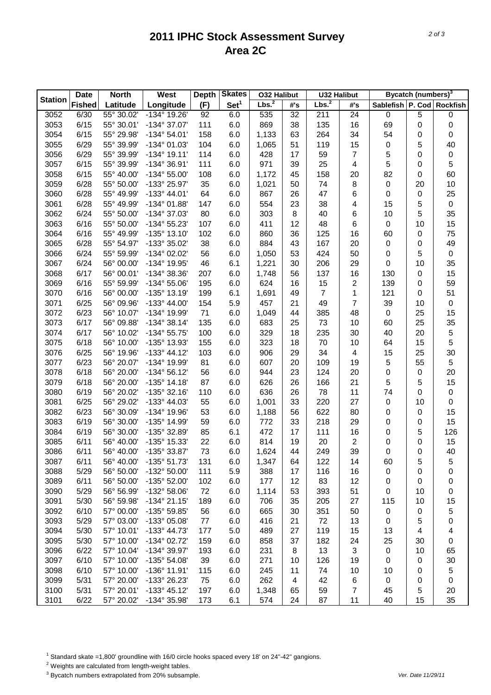## **2011 IPHC Stock Assessment Survey Area 2C**

|                | <b>Date</b>   | <b>North</b> | <b>Skates</b><br>West<br><b>Depth</b><br><b>032 Halibut</b> |     |                  | <b>U32 Halibut</b> |     | Bycatch (numbers) <sup>3</sup> |                |           |    |                           |
|----------------|---------------|--------------|-------------------------------------------------------------|-----|------------------|--------------------|-----|--------------------------------|----------------|-----------|----|---------------------------|
| <b>Station</b> | <b>Fished</b> | Latitude     | Longitude                                                   | (F) | Set <sup>1</sup> | Lbs. <sup>2</sup>  | #'s | Lbs. <sup>2</sup>              | #'s            |           |    | Sablefish P. Cod Rockfish |
| 3052           | 6/30          | 55° 30.02'   | $-134^{\circ}$ 19.26'                                       | 92  | 6.0              | 535                | 32  | 211                            | 24             | $\pmb{0}$ | 5  | $\pmb{0}$                 |
| 3053           | 6/15          | 55° 30.01'   | -134° 37.07'                                                | 111 | 6.0              | 869                | 38  | 135                            | 16             | 69        | 0  | $\mathbf 0$               |
| 3054           | 6/15          | 55° 29.98'   | $-134^{\circ} 54.01'$                                       | 158 | 6.0              | 1,133              | 63  | 264                            | 34             | 54        | 0  | $\pmb{0}$                 |
| 3055           | 6/29          | 55° 39.99'   | -134° 01.03'                                                | 104 | 6.0              | 1,065              | 51  | 119                            | 15             | 0         | 5  | 40                        |
| 3056           | 6/29          | 55° 39.99'   | $-134^{\circ}$ 19.11'                                       | 114 | 6.0              | 428                | 17  | 59                             | $\overline{7}$ | 5         | 0  | $\pmb{0}$                 |
| 3057           | 6/15          | 55° 39.99'   | -134° 36.91'                                                | 111 | 6.0              | 971                | 39  | 25                             | 4              | 5         | 0  | $\sqrt{5}$                |
| 3058           | 6/15          | 55° 40.00'   | $-134^{\circ} 55.00'$                                       | 108 | 6.0              | 1,172              | 45  | 158                            | 20             | 82        | 0  | 60                        |
| 3059           | 6/28          | 55° 50.00'   | -133° 25.97'                                                | 35  | 6.0              | 1,021              | 50  | 74                             | 8              | $\pmb{0}$ | 20 | 10                        |
| 3060           | 6/28          | 55° 49.99'   | $-133^{\circ}$ 44.01'                                       | 64  | 6.0              | 867                | 26  | 47                             | 6              | 0         | 0  | 25                        |
| 3061           | 6/28          | 55° 49.99'   | -134° 01.88'                                                | 147 | 6.0              | 554                | 23  | 38                             | 4              | 15        | 5  | 0                         |
| 3062           | 6/24          | 55° 50.00'   | -134° 37.03'                                                | 80  | 6.0              | 303                | 8   | 40                             | 6              | 10        | 5  | 35                        |
| 3063           | 6/16          | 55° 50.00'   | $-134^{\circ}55.23'$                                        | 107 | 6.0              | 411                | 12  | 48                             | 6              | $\pmb{0}$ | 10 | 15                        |
| 3064           | 6/16          | 55° 49.99'   | -135° 13.10'                                                | 102 | 6.0              | 860                | 36  | 125                            | 16             | 60        | 0  | 75                        |
| 3065           | 6/28          | 55° 54.97'   | -133° 35.02'                                                | 38  | 6.0              | 884                | 43  | 167                            | 20             | 0         | 0  | 49                        |
| 3066           | 6/24          | 55° 59.99'   | -134° 02.02'                                                | 56  | 6.0              | 1,050              | 53  | 424                            | 50             | 0         | 5  | $\pmb{0}$                 |
| 3067           | 6/24          | 56° 00.00'   | -134° 19.95'                                                | 46  | 6.1              | 1,221              | 30  | 206                            | 29             | 0         | 10 | 35                        |
| 3068           | 6/17          | 56° 00.01'   | -134° 38.36'                                                | 207 | 6.0              | 1,748              | 56  | 137                            | 16             | 130       | 0  | 15                        |
| 3069           | 6/16          | 55° 59.99'   | $-134^{\circ} 55.06'$                                       | 195 | 6.0              | 624                | 16  | 15                             | $\overline{2}$ | 139       | 0  | 59                        |
| 3070           | 6/16          | 56° 00.00'   | -135° 13.19'                                                | 199 | 6.1              | 1,691              | 49  | $\overline{7}$                 | 1              | 121       | 0  | 51                        |
| 3071           | 6/25          | 56° 09.96'   | $-133^{\circ}$ 44.00'                                       | 154 | 5.9              | 457                | 21  | 49                             | $\overline{7}$ | 39        | 10 | $\pmb{0}$                 |
| 3072           | 6/23          | 56° 10.07'   | -134° 19.99'                                                | 71  | 6.0              | 1,049              | 44  | 385                            | 48             | 0         | 25 | 15                        |
| 3073           | 6/17          | 56° 09.88'   | $-134^{\circ}38.14'$                                        | 135 |                  | 683                | 25  | 73                             | 10             | 60        | 25 |                           |
|                | 6/17          |              |                                                             |     | 6.0              |                    |     |                                |                |           |    | 35                        |
| 3074           |               | 56° 10.02'   | $-134^{\circ}55.75'$                                        | 100 | 6.0              | 329                | 18  | 235                            | 30             | 40        | 20 | $\mathbf 5$               |
| 3075           | 6/18          | 56° 10.00'   | -135° 13.93'                                                | 155 | 6.0              | 323                | 18  | 70                             | 10             | 64        | 15 | 5                         |
| 3076           | 6/25          | 56° 19.96'   | $-133^{\circ}$ 44.12'                                       | 103 | 6.0              | 906                | 29  | 34                             | 4              | 15        | 25 | 30                        |
| 3077           | 6/23          | 56° 20.07'   | -134° 19.99'                                                | 81  | 6.0              | 607                | 20  | 109                            | 19             | 5         | 55 | 5                         |
| 3078           | 6/18          | 56° 20.00'   | $-134^{\circ} 56.12'$                                       | 56  | 6.0              | 944                | 23  | 124                            | 20             | 0         | 0  | 20                        |
| 3079           | 6/18          | 56° 20.00'   | $-135^{\circ}$ 14.18'                                       | 87  | 6.0              | 626                | 26  | 166                            | 21             | 5         | 5  | 15                        |
| 3080           | 6/19          | 56° 20.02'   | $-135^{\circ}$ 32.16'                                       | 110 | 6.0              | 636                | 26  | 78                             | 11             | 74        | 0  | $\pmb{0}$                 |
| 3081           | 6/25          | 56° 29.02'   | -133° 44.03'                                                | 55  | 6.0              | 1,001              | 33  | 220                            | 27             | 0         | 10 | $\pmb{0}$                 |
| 3082           | 6/23          | 56° 30.09'   | -134° 19.96'                                                | 53  | 6.0              | 1,188              | 56  | 622                            | 80             | 0         | 0  | 15                        |
| 3083           | 6/19          | 56° 30.00'   | -135° 14.99'                                                | 59  | 6.0              | 772                | 33  | 218                            | 29             | 0         | 0  | 15                        |
| 3084           | 6/19          | 56° 30.00'   | -135° 32.89'                                                | 85  | 6.1              | 472                | 17  | 111                            | 16             | 0         | 5  | 126                       |
| 3085           | 6/11          | 56° 40.00'   | -135° 15.33'                                                | 22  | 6.0              | 814                | 19  | 20                             | $\overline{2}$ | 0         | 0  | 15                        |
| 3086           | 6/11          | 56° 40.00'   | -135° 33.87'                                                | 73  | 6.0              | 1,624              | 44  | 249                            | 39             | 0         | 0  | 40                        |
| 3087           | 6/11          | 56° 40.00'   | -135° 51.73'                                                | 131 | 6.0              | 1,347              | 64  | 122                            | 14             | 60        | 5  | 5                         |
| 3088           | 5/29          | 56° 50.00'   | -132° 50.00'                                                | 111 | 5.9              | 388                | 17  | 116                            | 16             | $\pmb{0}$ | 0  | 0                         |
| 3089           | 6/11          | 56° 50.00'   | -135° 52.00'                                                | 102 | 6.0              | 177                | 12  | 83                             | 12             | 0         | 0  | 0                         |
| 3090           | 5/29          | 56° 56.99'   | -132° 58.06'                                                | 72  | 6.0              | 1,114              | 53  | 393                            | 51             | 0         | 10 | $\pmb{0}$                 |
| 3091           | 5/30          | 56° 59.98'   | $-134^{\circ}$ 21.15'                                       | 189 | 6.0              | 706                | 35  | 205                            | 27             | 115       | 10 | 15                        |
| 3092           | 6/10          | 57° 00.00'   | -135° 59.85'                                                | 56  | 6.0              | 665                | 30  | 351                            | 50             | 0         | 0  | 5                         |
| 3093           | 5/29          | 57° 03.00'   | -133° 05.08'                                                | 77  | 6.0              | 416                | 21  | 72                             | 13             | 0         | 5  | 0                         |
| 3094           | 5/30          | 57° 10.01'   | $-133^{\circ}$ 44.73'                                       | 177 | 5.0              | 489                | 27  | 119                            | 15             | 13        | 4  | 4                         |
| 3095           | 5/30          | 57° 10.00'   | -134° 02.72'                                                | 159 | 6.0              | 858                | 37  | 182                            | 24             | 25        | 30 | $\pmb{0}$                 |
| 3096           | 6/22          | 57° 10.04'   | -134° 39.97'                                                | 193 | 6.0              | 231                | 8   | 13                             | 3              | 0         | 10 | 65                        |
| 3097           | 6/10          | 57° 10.00'   | -135° 54.08'                                                | 39  | 6.0              | 271                | 10  | 126                            | 19             | 0         | 0  | 30                        |
| 3098           | 6/10          | 57° 10.00'   | -136° 11.91'                                                | 115 | 6.0              | 245                | 11  | 74                             | 10             | 10        | 0  | 5                         |
| 3099           | 5/31          | 57° 20.00'   | -133° 26.23'                                                | 75  | 6.0              | 262                | 4   | 42                             | 6              | 0         | 0  | $\pmb{0}$                 |
| 3100           | 5/31          | 57° 20.01'   | $-133^{\circ}$ 45.12'                                       | 197 | 6.0              | 1,348              | 65  | 59                             | 7              | 45        | 5  | 20                        |
| 3101           | 6/22          | 57° 20.02'   | -134° 35.98'                                                | 173 | 6.1              | 574                | 24  | 87                             | 11             | 40        | 15 | 35                        |

<sup>1</sup> Standard skate =1,800' groundline with 16/0 circle hooks spaced every 18' on 24"-42" gangions.

2 Weights are calculated from length-weight tables.

3 Bycatch numbers extrapolated from 20% subsample. *Ver. Date 11/29/11*